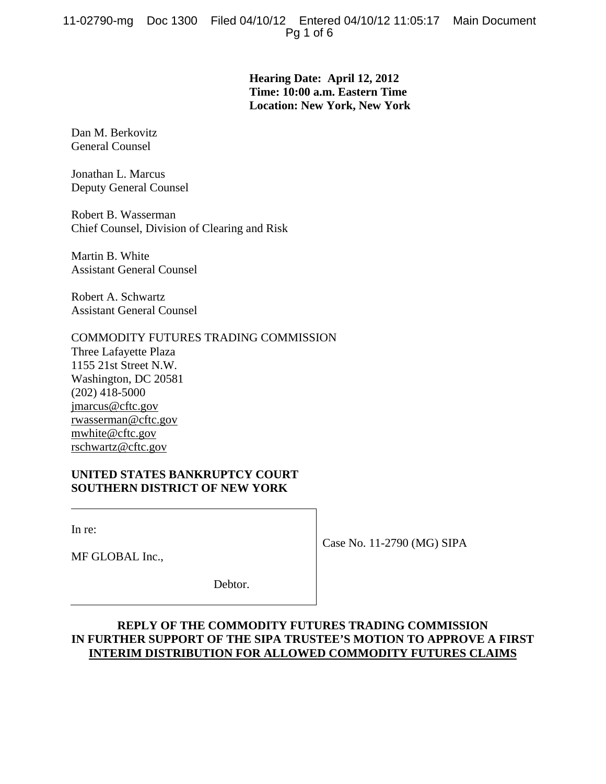**Hearing Date: April 12, 2012 Time: 10:00 a.m. Eastern Time Location: New York, New York** 

Dan M. Berkovitz General Counsel

Jonathan L. Marcus Deputy General Counsel

Robert B. Wasserman Chief Counsel, Division of Clearing and Risk

Martin B. White Assistant General Counsel

Robert A. Schwartz Assistant General Counsel

## COMMODITY FUTURES TRADING COMMISSION

Three Lafayette Plaza 1155 21st Street N.W. Washington, DC 20581 (202) 418-5000 jmarcus@cftc.gov rwasserman@cftc.gov mwhite@cftc.gov rschwartz@cftc.gov

## **UNITED STATES BANKRUPTCY COURT SOUTHERN DISTRICT OF NEW YORK**

In re:

MF GLOBAL Inc.,

Case No. 11-2790 (MG) SIPA

Debtor.

# **REPLY OF THE COMMODITY FUTURES TRADING COMMISSION IN FURTHER SUPPORT OF THE SIPA TRUSTEE'S MOTION TO APPROVE A FIRST INTERIM DISTRIBUTION FOR ALLOWED COMMODITY FUTURES CLAIMS**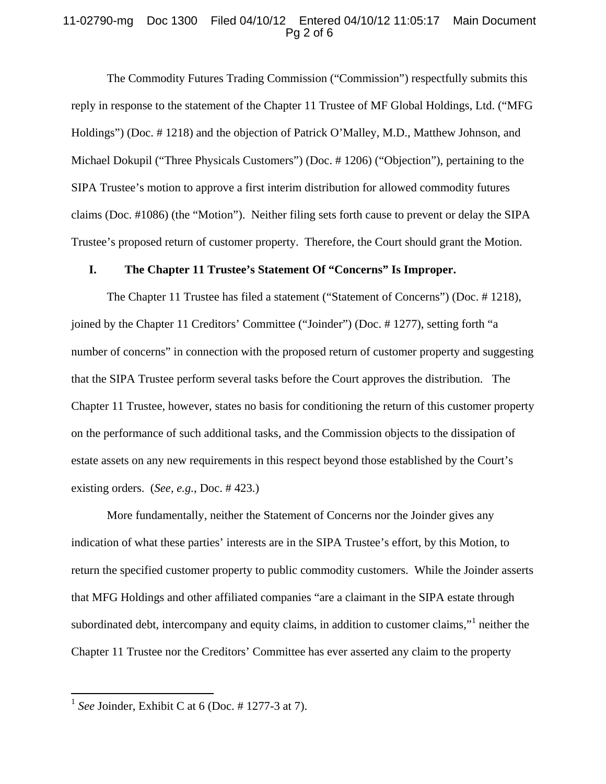#### 11-02790-mg Doc 1300 Filed 04/10/12 Entered 04/10/12 11:05:17 Main Document Pg 2 of 6

The Commodity Futures Trading Commission ("Commission") respectfully submits this reply in response to the statement of the Chapter 11 Trustee of MF Global Holdings, Ltd. ("MFG Holdings") (Doc. # 1218) and the objection of Patrick O'Malley, M.D., Matthew Johnson, and Michael Dokupil ("Three Physicals Customers") (Doc. # 1206) ("Objection"), pertaining to the SIPA Trustee's motion to approve a first interim distribution for allowed commodity futures claims (Doc. #1086) (the "Motion"). Neither filing sets forth cause to prevent or delay the SIPA Trustee's proposed return of customer property. Therefore, the Court should grant the Motion.

#### **I. The Chapter 11 Trustee's Statement Of "Concerns" Is Improper.**

The Chapter 11 Trustee has filed a statement ("Statement of Concerns") (Doc. # 1218), joined by the Chapter 11 Creditors' Committee ("Joinder") (Doc. # 1277), setting forth "a number of concerns" in connection with the proposed return of customer property and suggesting that the SIPA Trustee perform several tasks before the Court approves the distribution. The Chapter 11 Trustee, however, states no basis for conditioning the return of this customer property on the performance of such additional tasks, and the Commission objects to the dissipation of estate assets on any new requirements in this respect beyond those established by the Court's existing orders. (*See, e.g.*, Doc. # 423.)

More fundamentally, neither the Statement of Concerns nor the Joinder gives any indication of what these parties' interests are in the SIPA Trustee's effort, by this Motion, to return the specified customer property to public commodity customers. While the Joinder asserts that MFG Holdings and other affiliated companies "are a claimant in the SIPA estate through subordinated debt, intercompany and equity claims, in addition to customer claims,"<sup>1</sup> neither the Chapter 11 Trustee nor the Creditors' Committee has ever asserted any claim to the property

<u>.</u>

<sup>1</sup> *See* Joinder, Exhibit C at 6 (Doc. # 1277-3 at 7).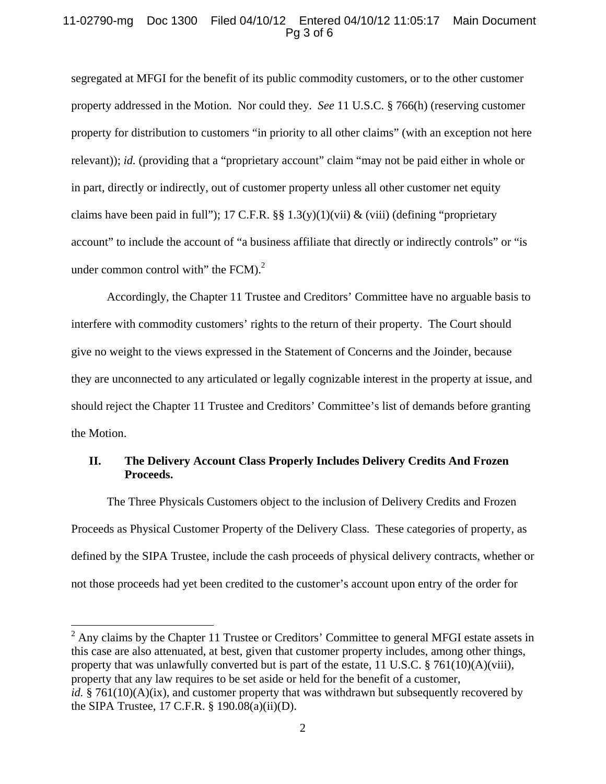#### 11-02790-mg Doc 1300 Filed 04/10/12 Entered 04/10/12 11:05:17 Main Document Pg 3 of 6

segregated at MFGI for the benefit of its public commodity customers, or to the other customer property addressed in the Motion. Nor could they. *See* 11 U.S.C. § 766(h) (reserving customer property for distribution to customers "in priority to all other claims" (with an exception not here relevant)); *id.* (providing that a "proprietary account" claim "may not be paid either in whole or in part, directly or indirectly, out of customer property unless all other customer net equity claims have been paid in full"); 17 C.F.R. §§ 1.3(y)(1)(vii) & (viii) (defining "proprietary account" to include the account of "a business affiliate that directly or indirectly controls" or "is under common control with" the FCM). $^{2}$ 

Accordingly, the Chapter 11 Trustee and Creditors' Committee have no arguable basis to interfere with commodity customers' rights to the return of their property. The Court should give no weight to the views expressed in the Statement of Concerns and the Joinder, because they are unconnected to any articulated or legally cognizable interest in the property at issue, and should reject the Chapter 11 Trustee and Creditors' Committee's list of demands before granting the Motion.

## **II. The Delivery Account Class Properly Includes Delivery Credits And Frozen Proceeds.**

The Three Physicals Customers object to the inclusion of Delivery Credits and Frozen Proceeds as Physical Customer Property of the Delivery Class. These categories of property, as defined by the SIPA Trustee, include the cash proceeds of physical delivery contracts, whether or not those proceeds had yet been credited to the customer's account upon entry of the order for

<sup>&</sup>lt;sup>2</sup> Any claims by the Chapter 11 Trustee or Creditors' Committee to general MFGI estate assets in this case are also attenuated, at best, given that customer property includes, among other things, property that was unlawfully converted but is part of the estate, 11 U.S.C. § 761(10)(A)(viii), property that any law requires to be set aside or held for the benefit of a customer, *id.* § 761(10)(A)(ix), and customer property that was withdrawn but subsequently recovered by the SIPA Trustee, 17 C.F.R. § 190.08(a)(ii)(D).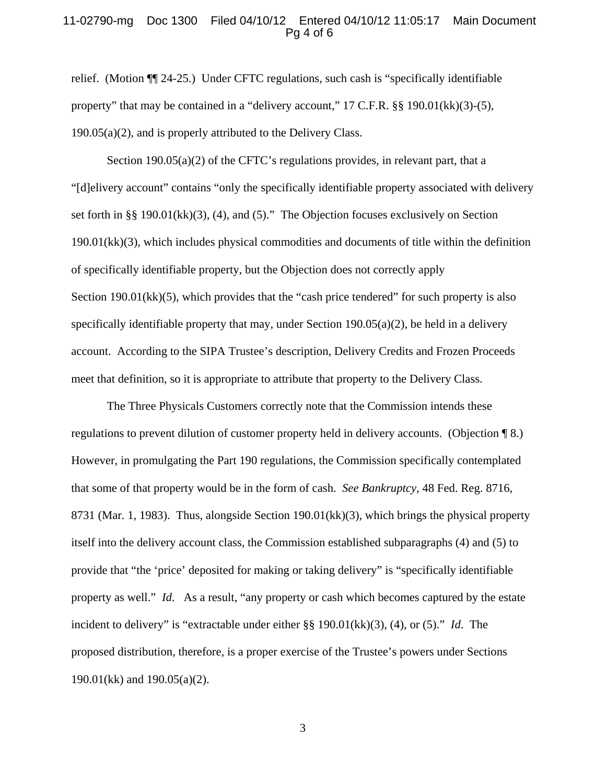#### 11-02790-mg Doc 1300 Filed 04/10/12 Entered 04/10/12 11:05:17 Main Document Pg 4 of 6

relief. (Motion ¶¶ 24-25.) Under CFTC regulations, such cash is "specifically identifiable property" that may be contained in a "delivery account," 17 C.F.R. §§ 190.01(kk)(3)-(5), 190.05(a)(2), and is properly attributed to the Delivery Class.

Section 190.05(a)(2) of the CFTC's regulations provides, in relevant part, that a "[d]elivery account" contains "only the specifically identifiable property associated with delivery set forth in §§ 190.01(kk)(3), (4), and (5)." The Objection focuses exclusively on Section 190.01(kk)(3), which includes physical commodities and documents of title within the definition of specifically identifiable property, but the Objection does not correctly apply Section 190.01(kk)(5), which provides that the "cash price tendered" for such property is also specifically identifiable property that may, under Section  $190.05(a)(2)$ , be held in a delivery account. According to the SIPA Trustee's description, Delivery Credits and Frozen Proceeds meet that definition, so it is appropriate to attribute that property to the Delivery Class.

The Three Physicals Customers correctly note that the Commission intends these regulations to prevent dilution of customer property held in delivery accounts. (Objection ¶ 8.) However, in promulgating the Part 190 regulations, the Commission specifically contemplated that some of that property would be in the form of cash. *See Bankruptcy*, 48 Fed. Reg. 8716, 8731 (Mar. 1, 1983). Thus, alongside Section 190.01(kk)(3), which brings the physical property itself into the delivery account class, the Commission established subparagraphs (4) and (5) to provide that "the 'price' deposited for making or taking delivery" is "specifically identifiable property as well." *Id*. As a result, "any property or cash which becomes captured by the estate incident to delivery" is "extractable under either §§ 190.01(kk)(3), (4), or (5)." *Id*. The proposed distribution, therefore, is a proper exercise of the Trustee's powers under Sections 190.01(kk) and 190.05(a)(2).

3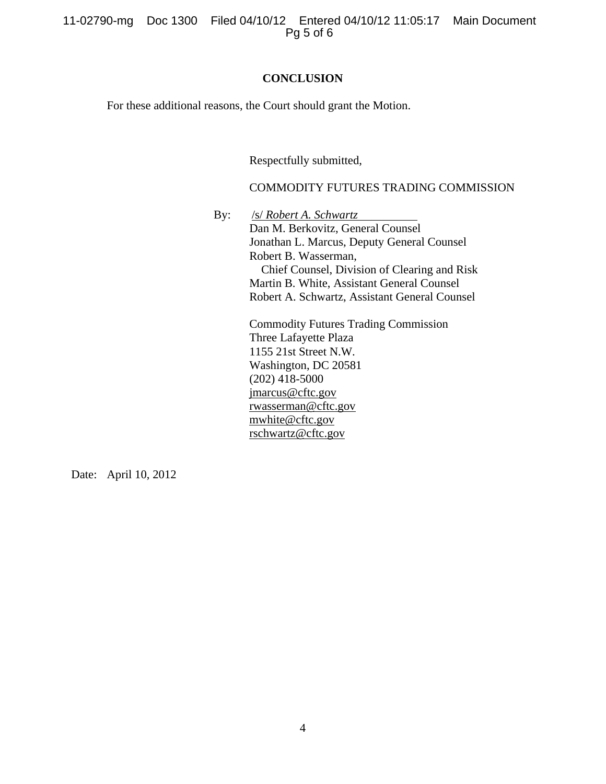11-02790-mg Doc 1300 Filed 04/10/12 Entered 04/10/12 11:05:17 Main Document Pg 5 of 6

#### **CONCLUSION**

For these additional reasons, the Court should grant the Motion.

Respectfully submitted,

### COMMODITY FUTURES TRADING COMMISSION

By: /s/ *Robert A. Schwartz*

Dan M. Berkovitz, General Counsel Jonathan L. Marcus, Deputy General Counsel Robert B. Wasserman, Chief Counsel, Division of Clearing and Risk Martin B. White, Assistant General Counsel Robert A. Schwartz, Assistant General Counsel

Commodity Futures Trading Commission Three Lafayette Plaza 1155 21st Street N.W. Washington, DC 20581 (202) 418-5000 jmarcus@cftc.gov rwasserman@cftc.gov mwhite@cftc.gov rschwartz@cftc.gov

Date: April 10, 2012